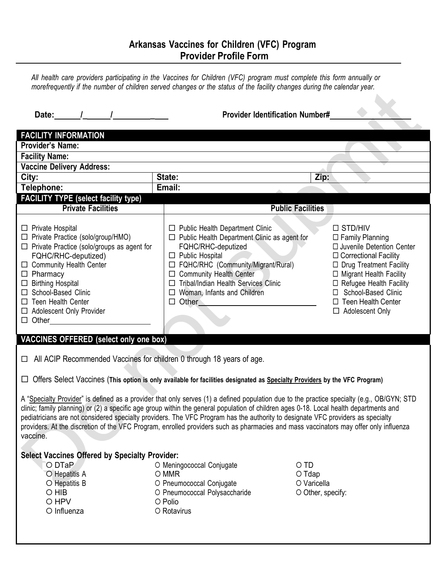## **Arkansas Vaccines for Children (VFC) Program Provider Profile Form**

All health care providers participating in the Vaccines for Children (VFC) program must complete this form annually or morefrequently if the number of children served changes or the status of the facility changes during the calendar year.

| Date: /                                                                                                                                                                                                                                                                                                                                                                                                                                                                                                                                                                     | <b>Provider Identification Number#</b>                                                                                                                                                                                                                                                                             |                                                                                                                                                                                                                                                                      |  |  |  |
|-----------------------------------------------------------------------------------------------------------------------------------------------------------------------------------------------------------------------------------------------------------------------------------------------------------------------------------------------------------------------------------------------------------------------------------------------------------------------------------------------------------------------------------------------------------------------------|--------------------------------------------------------------------------------------------------------------------------------------------------------------------------------------------------------------------------------------------------------------------------------------------------------------------|----------------------------------------------------------------------------------------------------------------------------------------------------------------------------------------------------------------------------------------------------------------------|--|--|--|
| <b>FACILITY INFORMATION</b>                                                                                                                                                                                                                                                                                                                                                                                                                                                                                                                                                 |                                                                                                                                                                                                                                                                                                                    |                                                                                                                                                                                                                                                                      |  |  |  |
| <b>Provider's Name:</b>                                                                                                                                                                                                                                                                                                                                                                                                                                                                                                                                                     |                                                                                                                                                                                                                                                                                                                    |                                                                                                                                                                                                                                                                      |  |  |  |
| <b>Facility Name:</b>                                                                                                                                                                                                                                                                                                                                                                                                                                                                                                                                                       |                                                                                                                                                                                                                                                                                                                    |                                                                                                                                                                                                                                                                      |  |  |  |
| <b>Vaccine Delivery Address:</b>                                                                                                                                                                                                                                                                                                                                                                                                                                                                                                                                            |                                                                                                                                                                                                                                                                                                                    |                                                                                                                                                                                                                                                                      |  |  |  |
| City:                                                                                                                                                                                                                                                                                                                                                                                                                                                                                                                                                                       | State:                                                                                                                                                                                                                                                                                                             | Zip:                                                                                                                                                                                                                                                                 |  |  |  |
| Telephone:                                                                                                                                                                                                                                                                                                                                                                                                                                                                                                                                                                  | Email:                                                                                                                                                                                                                                                                                                             |                                                                                                                                                                                                                                                                      |  |  |  |
| <b>FACILITY TYPE (select facility type)</b>                                                                                                                                                                                                                                                                                                                                                                                                                                                                                                                                 |                                                                                                                                                                                                                                                                                                                    |                                                                                                                                                                                                                                                                      |  |  |  |
| <b>Private Facilities</b>                                                                                                                                                                                                                                                                                                                                                                                                                                                                                                                                                   | <b>Public Facilities</b>                                                                                                                                                                                                                                                                                           |                                                                                                                                                                                                                                                                      |  |  |  |
| $\Box$ Private Hospital<br>□ Private Practice (solo/group/HMO)<br>$\Box$ Private Practice (solo/groups as agent for<br>FQHC/RHC-deputized)<br>□ Community Health Center<br>$\Box$ Pharmacy<br>$\Box$ Birthing Hospital<br>□ School-Based Clinic<br>$\Box$ Teen Health Center<br>$\Box$ Adolescent Only Provider<br>$\Box$ Other                                                                                                                                                                                                                                             | $\Box$ Public Health Department Clinic<br>$\Box$ Public Health Department Clinic as agent for<br>FQHC/RHC-deputized<br>$\Box$ Public Hospital<br>□ FQHC/RHC (Community/Migrant/Rural)<br>□ Community Health Center<br>□ Tribal/Indian Health Services Clinic<br>$\Box$ Woman, Infants and Children<br>$\Box$ Other | □ STD/HIV<br>$\Box$ Family Planning<br>□ Juvenile Detention Center<br>$\Box$ Correctional Facility<br>□ Drug Treatment Facility<br>□ Migrant Health Facility<br>□ Refugee Health Facility<br>□ School-Based Clinic<br>$\Box$ Teen Health Center<br>□ Adolescent Only |  |  |  |
| <b>VACCINES OFFERED</b> (select only one box)                                                                                                                                                                                                                                                                                                                                                                                                                                                                                                                               |                                                                                                                                                                                                                                                                                                                    |                                                                                                                                                                                                                                                                      |  |  |  |
| $\Box$ All ACIP Recommended Vaccines for children 0 through 18 years of age.                                                                                                                                                                                                                                                                                                                                                                                                                                                                                                |                                                                                                                                                                                                                                                                                                                    |                                                                                                                                                                                                                                                                      |  |  |  |
| □ Offers Select Vaccines (This option is only available for facilities designated as Specialty Providers by the VFC Program)                                                                                                                                                                                                                                                                                                                                                                                                                                                |                                                                                                                                                                                                                                                                                                                    |                                                                                                                                                                                                                                                                      |  |  |  |
| A "Specialty Provider" is defined as a provider that only serves (1) a defined population due to the practice specialty (e.g., OB/GYN; STD<br>clinic; family planning) or (2) a specific age group within the general population of children ages 0-18. Local health departments and<br>pediatricians are not considered specialty providers. The VFC Program has the authority to designate VFC providers as specialty<br>providers. At the discretion of the VFC Program, enrolled providers such as pharmacies and mass vaccinators may offer only influenza<br>vaccine. |                                                                                                                                                                                                                                                                                                                    |                                                                                                                                                                                                                                                                      |  |  |  |
| <b>Select Vaccines Offered by Specialty Provider:</b>                                                                                                                                                                                                                                                                                                                                                                                                                                                                                                                       |                                                                                                                                                                                                                                                                                                                    |                                                                                                                                                                                                                                                                      |  |  |  |
| O DTaP<br>O Hepatitis A<br>O Hepatitis B<br>O HIB<br>O HPV<br>O Influenza                                                                                                                                                                                                                                                                                                                                                                                                                                                                                                   | O Meningococcal Conjugate<br>O MMR<br>O Pneumococcal Conjugate<br>O Pneumococcal Polysaccharide<br>O Polio<br>O Rotavirus                                                                                                                                                                                          | O TD<br>$O$ Tdap<br>O Varicella<br>O Other, specify:                                                                                                                                                                                                                 |  |  |  |